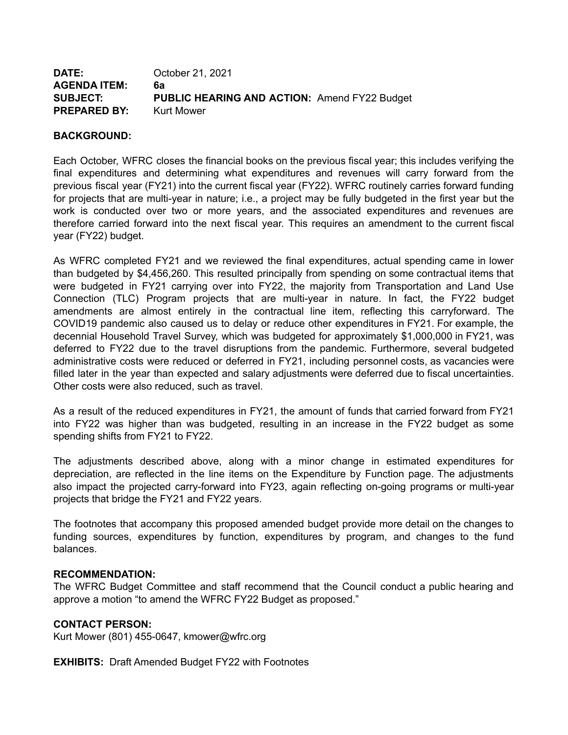| <b>DATE:</b>        | October 21, 2021                                    |
|---------------------|-----------------------------------------------------|
| <b>AGENDA ITEM:</b> | 6а                                                  |
| <b>SUBJECT:</b>     | <b>PUBLIC HEARING AND ACTION: Amend FY22 Budget</b> |
| <b>PREPARED BY:</b> | <b>Kurt Mower</b>                                   |

### **BACKGROUND:**

Each October, WFRC closes the financial books on the previous fiscal year; this includes verifying the final expenditures and determining what expenditures and revenues will carry forward from the previous fiscal year (FY21) into the current fiscal year (FY22). WFRC routinely carries forward funding for projects that are multi-year in nature; i.e., a project may be fully budgeted in the first year but the work is conducted over two or more years, and the associated expenditures and revenues are therefore carried forward into the next fiscal year. This requires an amendment to the current fiscal year (FY22) budget.

As WFRC completed FY21 and we reviewed the final expenditures, actual spending came in lower than budgeted by \$4,456,260. This resulted principally from spending on some contractual items that were budgeted in FY21 carrying over into FY22, the majority from Transportation and Land Use Connection (TLC) Program projects that are multi-year in nature. In fact, the FY22 budget amendments are almost entirely in the contractual line item, reflecting this carryforward. The COVID19 pandemic also caused us to delay or reduce other expenditures in FY21. For example, the decennial Household Travel Survey, which was budgeted for approximately \$1,000,000 in FY21, was deferred to FY22 due to the travel disruptions from the pandemic. Furthermore, several budgeted administrative costs were reduced or deferred in FY21, including personnel costs, as vacancies were filled later in the year than expected and salary adjustments were deferred due to fiscal uncertainties. Other costs were also reduced, such as travel.

As a result of the reduced expenditures in FY21, the amount of funds that carried forward from FY21 into FY22 was higher than was budgeted, resulting in an increase in the FY22 budget as some spending shifts from FY21 to FY22.

The adjustments described above, along with a minor change in estimated expenditures for depreciation, are reflected in the line items on the Expenditure by Function page. The adjustments also impact the projected carry-forward into FY23, again reflecting on-going programs or multi-year projects that bridge the FY21 and FY22 years.

The footnotes that accompany this proposed amended budget provide more detail on the changes to funding sources, expenditures by function, expenditures by program, and changes to the fund balances.

### **RECOMMENDATION:**

The WFRC Budget Committee and staff recommend that the Council conduct a public hearing and approve a motion "to amend the WFRC FY22 Budget as proposed."

### **CONTACT PERSON:**

Kurt Mower (801) 455-0647, kmower@wfrc.org

**EXHIBITS:** Draft Amended Budget FY22 with Footnotes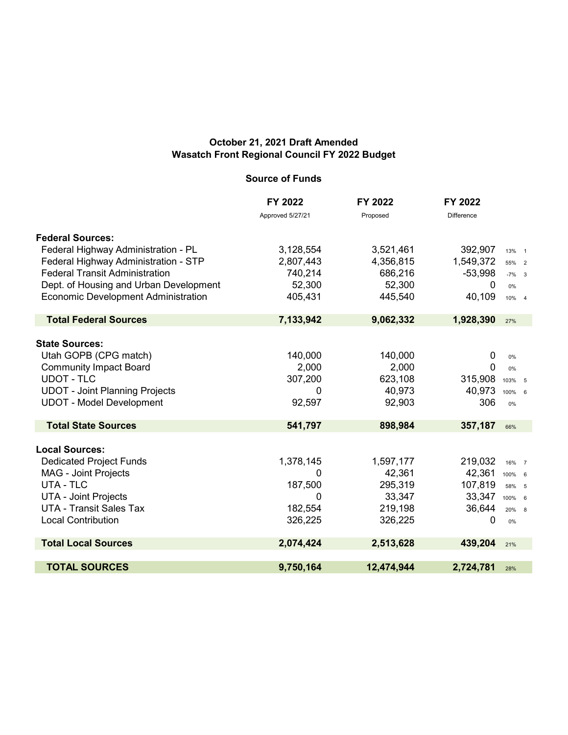## **October 21, 2021 Draft Amended Wasatch Front Regional Council FY 2022 Budget**

## **Source of Funds**

|                                            | FY 2022          | FY 2022    | FY 2022           |          |
|--------------------------------------------|------------------|------------|-------------------|----------|
|                                            | Approved 5/27/21 | Proposed   | <b>Difference</b> |          |
| <b>Federal Sources:</b>                    |                  |            |                   |          |
| Federal Highway Administration - PL        | 3,128,554        | 3,521,461  | 392,907           | 13% 1    |
| Federal Highway Administration - STP       | 2,807,443        | 4,356,815  | 1,549,372         | 55% 2    |
| <b>Federal Transit Administration</b>      | 740,214          | 686,216    | $-53,998$         | $-7\%$ 3 |
| Dept. of Housing and Urban Development     | 52,300           | 52,300     | 0                 | 0%       |
| <b>Economic Development Administration</b> | 405,431          | 445,540    | 40,109            | 10% 4    |
| <b>Total Federal Sources</b>               | 7,133,942        | 9,062,332  | 1,928,390         | 27%      |
|                                            |                  |            |                   |          |
| <b>State Sources:</b>                      |                  |            |                   |          |
| Utah GOPB (CPG match)                      | 140,000          | 140,000    | 0                 | $0\%$    |
| <b>Community Impact Board</b>              | 2,000            | 2,000      | $\mathbf 0$       | 0%       |
| <b>UDOT - TLC</b>                          | 307,200          | 623,108    | 315,908           | 103% 5   |
| <b>UDOT - Joint Planning Projects</b>      | 0                | 40,973     | 40,973            | 100% 6   |
| <b>UDOT - Model Development</b>            | 92,597           | 92,903     | 306               | 0%       |
| <b>Total State Sources</b>                 | 541,797          | 898,984    | 357,187           | 66%      |
| <b>Local Sources:</b>                      |                  |            |                   |          |
| <b>Dedicated Project Funds</b>             | 1,378,145        | 1,597,177  | 219,032           | 16% 7    |
| <b>MAG - Joint Projects</b>                | 0                | 42,361     | 42,361            | 100% 6   |
| UTA - TLC                                  | 187,500          | 295,319    | 107,819           | 58% 5    |
| <b>UTA - Joint Projects</b>                | 0                | 33,347     | 33,347 100% 6     |          |
| <b>UTA - Transit Sales Tax</b>             | 182,554          | 219,198    | 36,644            | 20% 8    |
| <b>Local Contribution</b>                  | 326,225          | 326,225    | $\mathbf 0$       | 0%       |
| <b>Total Local Sources</b>                 | 2,074,424        | 2,513,628  | 439,204           | 21%      |
| <b>TOTAL SOURCES</b>                       | 9,750,164        | 12,474,944 | 2,724,781         | 28%      |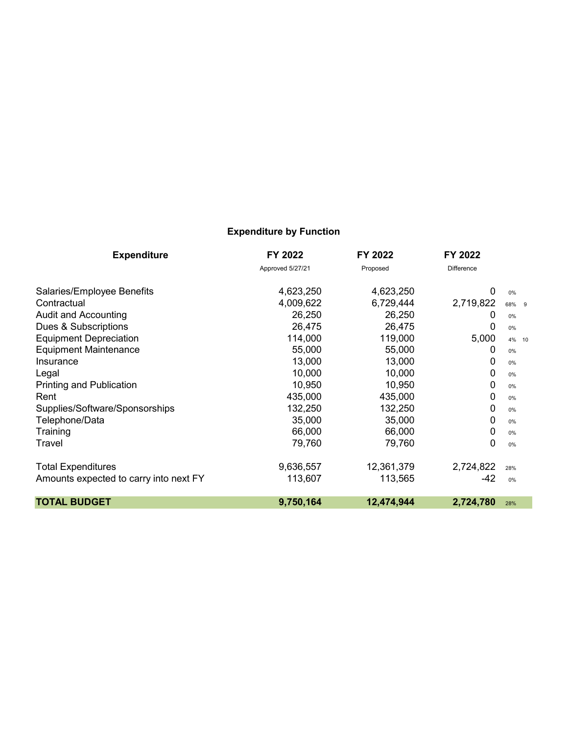# **Expenditure by Function**

| <b>Expenditure</b>                     | FY 2022          | FY 2022    | FY 2022           |       |
|----------------------------------------|------------------|------------|-------------------|-------|
|                                        | Approved 5/27/21 | Proposed   | <b>Difference</b> |       |
| Salaries/Employee Benefits             | 4,623,250        | 4,623,250  | 0                 | 0%    |
| Contractual                            | 4,009,622        | 6,729,444  | 2,719,822         | 68% 9 |
| <b>Audit and Accounting</b>            | 26,250           | 26,250     | 0                 | 0%    |
| Dues & Subscriptions                   | 26,475           | 26,475     | 0                 | 0%    |
| <b>Equipment Depreciation</b>          | 114,000          | 119,000    | 5,000             | 4% 10 |
| <b>Equipment Maintenance</b>           | 55,000           | 55,000     | 0                 | 0%    |
| Insurance                              | 13,000           | 13,000     | 0                 | 0%    |
| Legal                                  | 10,000           | 10,000     | 0                 | $0\%$ |
| <b>Printing and Publication</b>        | 10,950           | 10,950     | 0                 | 0%    |
| Rent                                   | 435,000          | 435,000    | 0                 | 0%    |
| Supplies/Software/Sponsorships         | 132,250          | 132,250    | 0                 | 0%    |
| Telephone/Data                         | 35,000           | 35,000     | 0                 | 0%    |
| Training                               | 66,000           | 66,000     | 0                 | 0%    |
| Travel                                 | 79,760           | 79,760     | 0                 | 0%    |
| <b>Total Expenditures</b>              | 9,636,557        | 12,361,379 | 2,724,822         | 28%   |
| Amounts expected to carry into next FY | 113,607          | 113,565    | $-42$             | 0%    |
| <b>TOTAL BUDGET</b>                    | 9,750,164        | 12,474,944 | 2,724,780         | 28%   |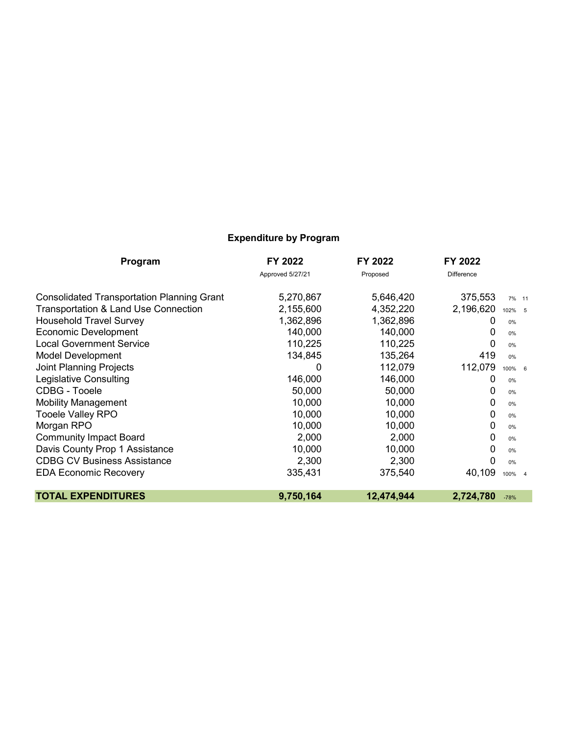# **Expenditure by Program**

| Program                                           | FY 2022          | FY 2022    | FY 2022           |        |  |
|---------------------------------------------------|------------------|------------|-------------------|--------|--|
|                                                   | Approved 5/27/21 | Proposed   | <b>Difference</b> |        |  |
| <b>Consolidated Transportation Planning Grant</b> | 5,270,867        | 5,646,420  | 375,553           | 7% 11  |  |
| Transportation & Land Use Connection              | 2,155,600        | 4,352,220  | 2,196,620         | 102% 5 |  |
| <b>Household Travel Survey</b>                    | 1,362,896        | 1,362,896  | 0                 | 0%     |  |
| <b>Economic Development</b>                       | 140,000          | 140,000    | 0                 | 0%     |  |
| <b>Local Government Service</b>                   | 110,225          | 110,225    | 0                 | 0%     |  |
| <b>Model Development</b>                          | 134,845          | 135,264    | 419               | 0%     |  |
| <b>Joint Planning Projects</b>                    | 0                | 112,079    | 112,079           | 100% 6 |  |
| <b>Legislative Consulting</b>                     | 146,000          | 146,000    | 0                 | 0%     |  |
| CDBG - Tooele                                     | 50,000           | 50,000     | 0                 | 0%     |  |
| <b>Mobility Management</b>                        | 10,000           | 10,000     | 0                 | 0%     |  |
| Tooele Valley RPO                                 | 10,000           | 10,000     | 0                 | 0%     |  |
| Morgan RPO                                        | 10,000           | 10,000     | 0                 | 0%     |  |
| <b>Community Impact Board</b>                     | 2,000            | 2,000      | 0                 | 0%     |  |
| Davis County Prop 1 Assistance                    | 10,000           | 10,000     | 0                 | 0%     |  |
| <b>CDBG CV Business Assistance</b>                | 2,300            | 2,300      | 0                 | 0%     |  |
| <b>EDA Economic Recovery</b>                      | 335,431          | 375,540    | 40,109            | 100% 4 |  |
| <b>TOTAL EXPENDITURES</b>                         | 9,750,164        | 12,474,944 | 2,724,780         | $-78%$ |  |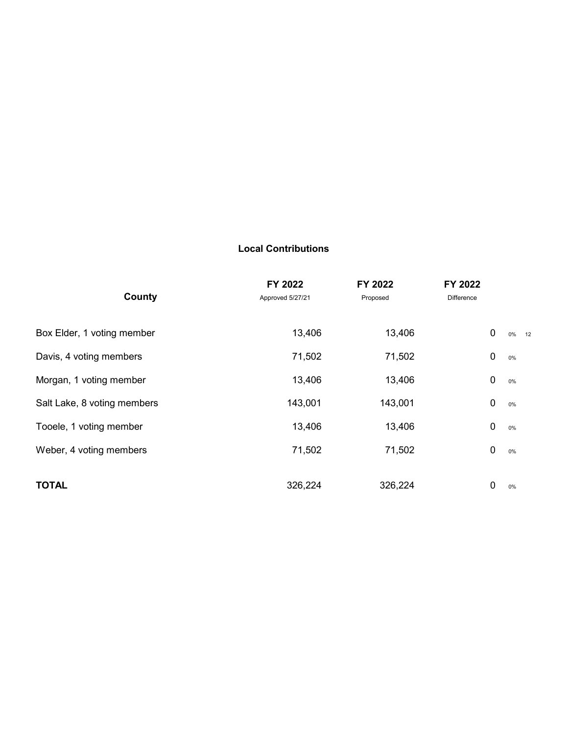### **Local Contributions**

|                             | FY 2022          | FY 2022  | FY 2022            |
|-----------------------------|------------------|----------|--------------------|
| County                      | Approved 5/27/21 | Proposed | Difference         |
|                             |                  |          |                    |
| Box Elder, 1 voting member  | 13,406           | 13,406   | $\pmb{0}$<br>0% 12 |
| Davis, 4 voting members     | 71,502           | 71,502   | $\mathbf 0$<br>0%  |
| Morgan, 1 voting member     | 13,406           | 13,406   | $\mathbf 0$<br>0%  |
| Salt Lake, 8 voting members | 143,001          | 143,001  | $\mathbf 0$<br>0%  |
| Tooele, 1 voting member     | 13,406           | 13,406   | $\mathbf 0$<br>0%  |
| Weber, 4 voting members     | 71,502           | 71,502   | 0<br>0%            |
|                             |                  |          |                    |
| <b>TOTAL</b>                | 326,224          | 326,224  | 0<br>$0\%$         |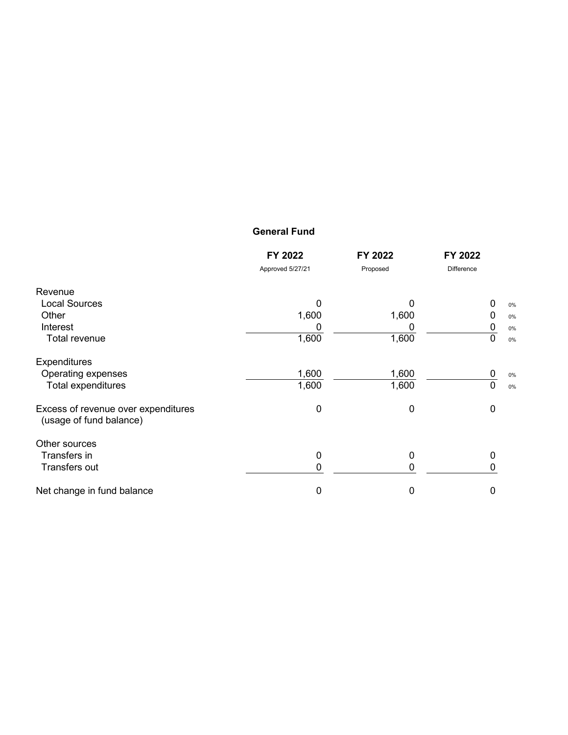### **General Fund**

|                                                                | FY 2022          | FY 2022  | FY 2022           |
|----------------------------------------------------------------|------------------|----------|-------------------|
|                                                                | Approved 5/27/21 | Proposed | Difference        |
| Revenue                                                        |                  |          |                   |
| <b>Local Sources</b>                                           | 0                | 0        | 0<br>0%           |
| Other                                                          | 1,600            | 1,600    | 0<br>0%           |
| Interest                                                       |                  |          | 0<br>0%           |
| Total revenue                                                  | 1,600            | 1,600    | 0<br>0%           |
| Expenditures                                                   |                  |          |                   |
| Operating expenses                                             | 1,600            | 1,600    | 0<br>0%           |
| Total expenditures                                             | 1,600            | 1,600    | $\mathbf 0$<br>0% |
| Excess of revenue over expenditures<br>(usage of fund balance) | 0                | 0        | 0                 |
| Other sources                                                  |                  |          |                   |
| Transfers in                                                   | 0                | 0        | 0                 |
| Transfers out                                                  | 0                | 0        |                   |
| Net change in fund balance                                     | 0                | 0        | 0                 |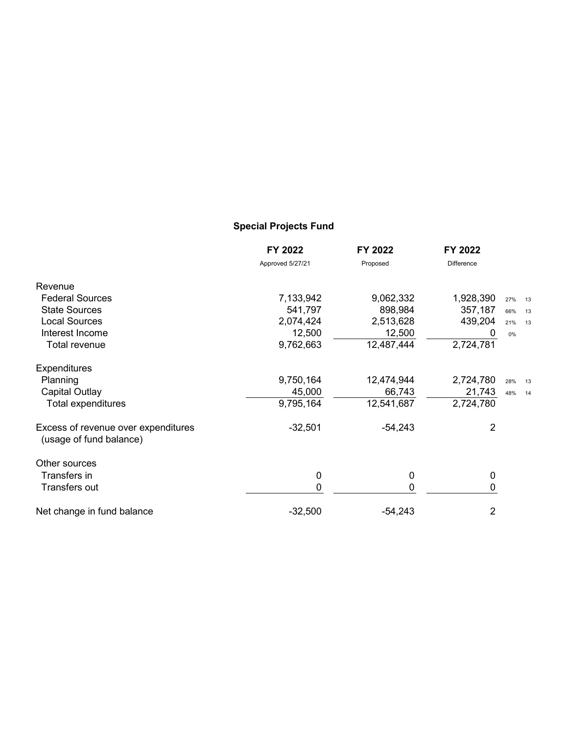# **Special Projects Fund**

|                                                                | FY 2022          | FY 2022     | FY 2022           |           |
|----------------------------------------------------------------|------------------|-------------|-------------------|-----------|
|                                                                | Approved 5/27/21 | Proposed    | <b>Difference</b> |           |
| Revenue                                                        |                  |             |                   |           |
| <b>Federal Sources</b>                                         | 7,133,942        | 9,062,332   | 1,928,390         | 27% 13    |
| <b>State Sources</b>                                           | 541,797          | 898,984     | 357,187           | 66%<br>13 |
| <b>Local Sources</b>                                           | 2,074,424        | 2,513,628   | 439,204           | 21%<br>13 |
| Interest Income                                                | 12,500           | 12,500      | O                 | 0%        |
| Total revenue                                                  | 9,762,663        | 12,487,444  | 2,724,781         |           |
| <b>Expenditures</b>                                            |                  |             |                   |           |
| Planning                                                       | 9,750,164        | 12,474,944  | 2,724,780         | 28%<br>13 |
| <b>Capital Outlay</b>                                          | 45,000           | 66,743      | 21,743            | 48%<br>14 |
| Total expenditures                                             | 9,795,164        | 12,541,687  | 2,724,780         |           |
| Excess of revenue over expenditures<br>(usage of fund balance) | $-32,501$        | $-54,243$   | $\overline{2}$    |           |
| Other sources                                                  |                  |             |                   |           |
| Transfers in                                                   | 0                | $\mathbf 0$ | 0                 |           |
| Transfers out                                                  | 0                | $\mathbf 0$ | 0                 |           |
| Net change in fund balance                                     | $-32,500$        | $-54,243$   | 2                 |           |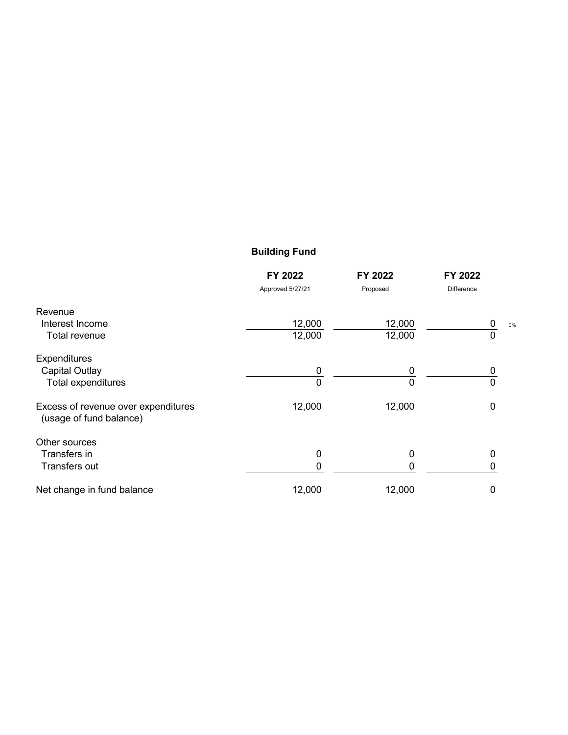# **Building Fund**

|                                                                | FY 2022          | FY 2022  | FY 2022           |
|----------------------------------------------------------------|------------------|----------|-------------------|
|                                                                | Approved 5/27/21 | Proposed | <b>Difference</b> |
| Revenue                                                        |                  |          |                   |
| Interest Income                                                | 12,000           | 12,000   | 0<br>0%           |
| Total revenue                                                  | 12,000           | 12,000   | 0                 |
| <b>Expenditures</b>                                            |                  |          |                   |
| <b>Capital Outlay</b>                                          | 0                | 0        |                   |
| Total expenditures                                             | 0                | 0        | 0                 |
| Excess of revenue over expenditures<br>(usage of fund balance) | 12,000           | 12,000   | 0                 |
| Other sources                                                  |                  |          |                   |
| Transfers in                                                   | 0                | 0        | 0                 |
| Transfers out                                                  | 0                | 0        | O                 |
| Net change in fund balance                                     | 12,000           | 12,000   | 0                 |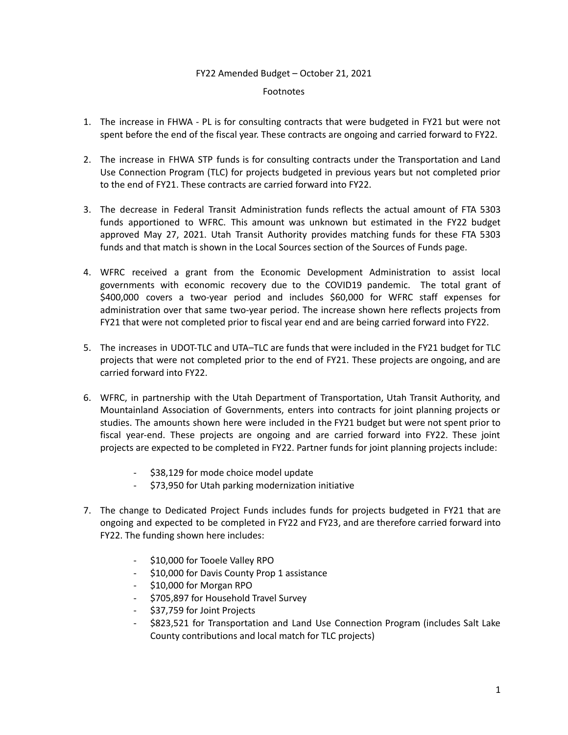#### FY22 Amended Budget – October 21, 2021

#### Footnotes

- 1. The increase in FHWA PL is for consulting contracts that were budgeted in FY21 but were not spent before the end of the fiscal year. These contracts are ongoing and carried forward to FY22.
- 2. The increase in FHWA STP funds is for consulting contracts under the Transportation and Land Use Connection Program (TLC) for projects budgeted in previous years but not completed prior to the end of FY21. These contracts are carried forward into FY22.
- 3. The decrease in Federal Transit Administration funds reflects the actual amount of FTA 5303 funds apportioned to WFRC. This amount was unknown but estimated in the FY22 budget approved May 27, 2021. Utah Transit Authority provides matching funds for these FTA 5303 funds and that match is shown in the Local Sources section of the Sources of Funds page.
- 4. WFRC received a grant from the Economic Development Administration to assist local governments with economic recovery due to the COVID19 pandemic. The total grant of \$400,000 covers a two-year period and includes \$60,000 for WFRC staff expenses for administration over that same two-year period. The increase shown here reflects projects from FY21 that were not completed prior to fiscal year end and are being carried forward into FY22.
- 5. The increases in UDOT-TLC and UTA–TLC are funds that were included in the FY21 budget for TLC projects that were not completed prior to the end of FY21. These projects are ongoing, and are carried forward into FY22.
- 6. WFRC, in partnership with the Utah Department of Transportation, Utah Transit Authority, and Mountainland Association of Governments, enters into contracts for joint planning projects or studies. The amounts shown here were included in the FY21 budget but were not spent prior to fiscal year-end. These projects are ongoing and are carried forward into FY22. These joint projects are expected to be completed in FY22. Partner funds for joint planning projects include:
	- \$38,129 for mode choice model update
	- \$73,950 for Utah parking modernization initiative
- 7. The change to Dedicated Project Funds includes funds for projects budgeted in FY21 that are ongoing and expected to be completed in FY22 and FY23, and are therefore carried forward into FY22. The funding shown here includes:
	- \$10,000 for Tooele Valley RPO
	- \$10,000 for Davis County Prop 1 assistance
	- \$10,000 for Morgan RPO
	- \$705,897 for Household Travel Survey
	- \$37,759 for Joint Projects
	- \$823,521 for Transportation and Land Use Connection Program (includes Salt Lake County contributions and local match for TLC projects)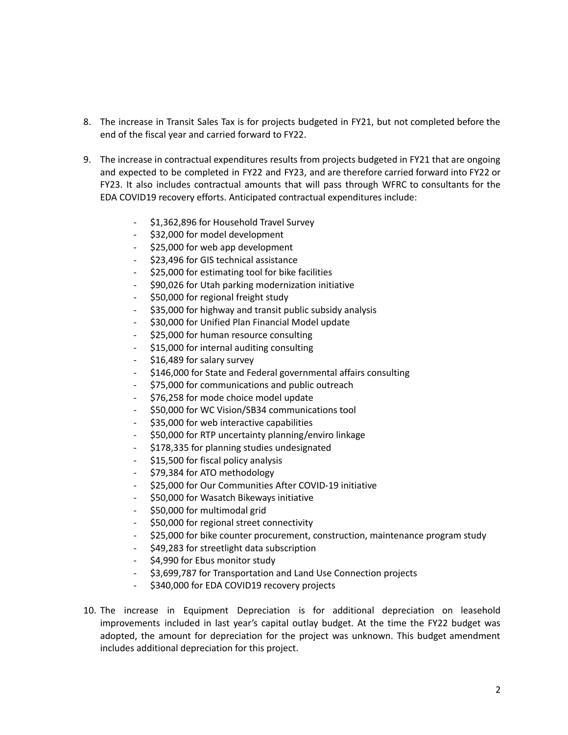- 8. The increase in Transit Sales Tax is for projects budgeted in FY21, but not completed before the end of the fiscal year and carried forward to FY22.
- 9. The increase in contractual expenditures results from projects budgeted in FY21 that are ongoing and expected to be completed in FY22 and FY23, and are therefore carried forward into FY22 or FY23. It also includes contractual amounts that will pass through WFRC to consultants for the EDA COVID19 recovery efforts. Anticipated contractual expenditures include:
	- \$1,362,896 for Household Travel Survey
	- \$32,000 for model development
	- \$25,000 for web app development
	- \$23,496 for GIS technical assistance
	- \$25,000 for estimating tool for bike facilities
	- \$90,026 for Utah parking modernization initiative
	- \$50,000 for regional freight study
	- \$35,000 for highway and transit public subsidy analysis
	- \$30,000 for Unified Plan Financial Model update
	- \$25,000 for human resource consulting
	- \$15,000 for internal auditing consulting
	- \$16,489 for salary survey
	- \$146,000 for State and Federal governmental affairs consulting
	- \$75,000 for communications and public outreach
	- \$76,258 for mode choice model update
	- \$50,000 for WC Vision/SB34 communications tool
	- \$35,000 for web interactive capabilities
	- \$50,000 for RTP uncertainty planning/enviro linkage
	- \$178,335 for planning studies undesignated
	- \$15,500 for fiscal policy analysis
	- \$79,384 for ATO methodology
	- \$25,000 for Our Communities After COVID-19 initiative
	- \$50,000 for Wasatch Bikeways initiative
	- \$50,000 for multimodal grid
	- \$50,000 for regional street connectivity
	- \$25,000 for bike counter procurement, construction, maintenance program study
	- \$49,283 for streetlight data subscription
	- \$4,990 for Ebus monitor study
	- \$3,699,787 for Transportation and Land Use Connection projects
	- \$340,000 for EDA COVID19 recovery projects
- 10. The increase in Equipment Depreciation is for additional depreciation on leasehold improvements included in last year's capital outlay budget. At the time the FY22 budget was adopted, the amount for depreciation for the project was unknown. This budget amendment includes additional depreciation for this project.